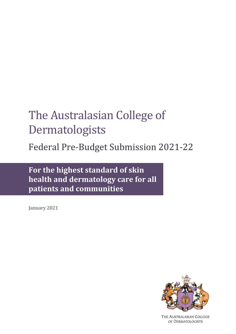# The Australasian College of Dermatologists

Federal Pre-Budget Submission 2021-22

**For the highest standard of skin health and dermatology care for all patients and communities**

**January 2021**



THE AUSTRALASIAN COLLEGE OF DERMATOLOGISTS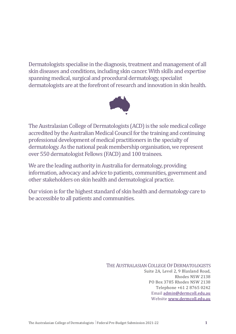Dermatologists specialise in the diagnosis, treatment and management of all skin diseases and conditions, including skin cancer. With skills and expertise spanning medical, surgical and procedural dermatology, specialist dermatologists are at the forefront of research and innovation in skin health.



The Australasian College of Dermatologists (ACD) is the sole medical college accredited by the Australian Medical Council for the training and continuing professional development of medical practitioners in the specialty of dermatology. As the national peak membership organisation, we represent over 550 dermatologist Fellows (FACD) and 100 trainees.

We are the leading authority in Australia for dermatology, providing information, advocacy and advice to patients, communities, government and other stakeholders on skin health and dermatological practice.

Our vision is for the highest standard of skin health and dermatology care to be accessible to all patients and communities.

> THE AUSTRALASIAN COLLEGE OF DERMATOLOGISTS Suite 2A, Level 2, 9 Blaxland Road, Rhodes NSW 2138 PO Box 3785 Rhodes NSW 2138 Telephone +61 2 8765 0242 Email [admin@dermcoll.edu.au](mailto:admin@dermcoll.edu.au) Website [www.dermcoll.edu.au](http://www.dermcoll.edu.au/)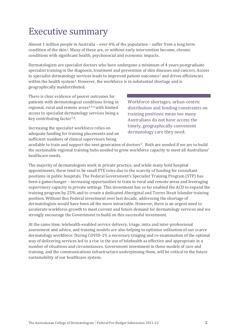# Executive summary

Almost 1 million people in Australia – over 4% of the population – suffer from a long term condition of the skin[1](#page-8-0). Many of these are, or without early intervention become, chronic conditions with significant health, psychosocial and economic impacts.

Dermatologists are specialist doctors who have undergone a minimum of 4 years postgraduate specialist training in the diagnosis, treatment and prevention of skin diseases and cancers. Access to specialist dermatolog[y](#page-8-2) services leads to improved patient outcomes<sup>[2](#page-8-1)</sup> and drives efficiencies within the health system3. However, the workforce is in substantial shortage and is geographically maldistributed.

There is clear evidence of poorer outcomes for patients with dermatological conditions living in regional, rural and remote areas[4,](#page-8-3)[5,](#page-8-4)[6](#page-8-5)with limited access to specialist dermatology services being a key contributing factor<sup>[7](#page-8-6),[8](#page-8-7)</sup>.

Increasing the specialist workforce relies on adequate funding for training placements and on sufficient numbers of clinical supervisors being

Workforce shortages, urban-centric distribution and funding constraints on training positions mean too many Australians do not have access the timely, geographically convenient dermatology care they need.

available to train and support the next generation of doctors[9.](#page-8-8) Both are needed if we are to build the sustainable regional training hubs needed to grow workforce capacity to meet all Australians' healthcare needs.

The majority of dermatologists work in private practice, and while many hold hospital appointments, these tend to be small FTE roles due to the scarcity of funding for consultant positions in public hospitals. The Federal Government's Specialist Training Program (STP) has been a gamechanger – increasing opportunities to train in rural and remote areas and leveraging supervisory capacity in private settings. This investment has so far enabled the ACD to expand the training program by 25% and to create a dedicated Aboriginal and Torres Strait Islander training position. Without this Federal investment over last decade, addressing the shortage of dermatologists would have been all the more intractable. However, there is an urgent need to accelerate workforce growth to meet current and future demand for dermatology services and we strongly encourage the Government to build on this successful investment.

At the same time, telehealth-enabled service delivery, triage, intra and inter-professional assessment and advice, and training models are also helping to optimise utilisation of our scarce dermatology workforce. During COVID-19, a necessary triaging and re-examination of the optimal way of delivering services led to a rise in the use of telehealth as effective and appropriate in a number of situations and circumstances. Government investment in these models of care and training, and the communications infrastructure underpinning them, will be critical to the future sustainability of our healthcare system.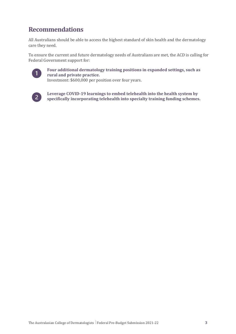## **Recommendations**

All Australians should be able to access the highest standard of skin health and the dermatology care they need.

To ensure the current and future dermatology needs of Australians are met, the ACD is calling for Federal Government support for:



**Four additional dermatology training positions in expanded settings, such as rural and private practice.** Investment: \$600,000 per position over four years.

 $\vert 2 \vert$ 

**Leverage COVID-19 learnings to embed telehealth into the health system by specifically incorporating telehealth into specialty training funding schemes.**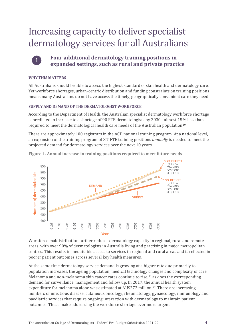# Increasing capacity to deliver specialist dermatology services for all Australians



**Four additional dermatology training positions in expanded settings, such as rural and private practice** 

#### **WHY THIS MATTERS**

All Australians should be able to access the highest standard of skin health and dermatology care. Yet workforce shortages, urban-centric distribution and funding constraints on training positions means many Australians do not have access the timely, geographically convenient care they need.

#### **SUPPLY AND DEMAND OF THE DERMATOLOGIST WORKFORCE**

According to the Department of Health, the Australian specialist dermatology workforce shortage is predicted to increase to a shortage of 90 FTE dermatologists by 2030 - almost 15% less than required to meet the dermatological health care needs of the Australian population[10.](#page-8-9)

There are approximately 100 registrars in the ACD national training program. At a national level, an expansion of the training program of 8.7 FTE training positions *annually* is needed to meet the projected demand for dermatology services over the next 10 years.



**Figure 1. Annual increase in training positions required to meet future needs**

Workforce maldistribution further reduces dermatology capacity in regional, rural and remote areas, with over 90% of dermatologists in Australia living and practising in major metropolitan centres. This results in inequitable access to services in regional and rural areas and is reflected in poorer patient outcomes across several key health measures.

At the same time dermatology service demand is growing at a higher rate due primarily to population increases, the ageing population, medical technology changes and complexity of care. Melanoma and non-melanoma skin cancer rates continue to rise, $11$  as does the corresponding demand for surveillance, management and follow up. In 2017, the annual health system expenditure for melanoma alone was estimated at AU\$272 million.[12](#page-8-11) There are increasing numbers of infectious disease, cutaneous oncology, rheumatology, gynaecology, immunology and paediatric services that require ongoing interaction with dermatology to maintain patient outcomes. These make addressing the workforce shortage ever more urgent.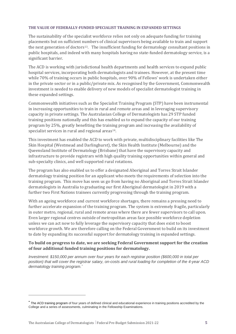#### **THE VALUE OF FEDERALLY-FUNDED SPECIALIST TRAINING IN EXPANDED SETTINGS**

The sustainability of the specialist workforce relies not only on adequate funding for training placements but on sufficient numbers of clinical supervisors being available to train and support the next generation of doctors[13](#page-8-12). The insufficient funding for dermatology consultant positions in public hospitals, and indeed with many hospitals having no state-funded dermatology service, is a significant barrier.

The ACD is working with jurisdictional health departments and health services to expand public hospital services, incorporating both dermatologists and trainees. However, at the present time while 70% of training occurs in public hospitals, over 90% of Fellows' work is undertaken either in the private sector or in a public/private mix. As recognised by the Government, Commonwealth investment is needed to enable delivery of new models of specialist dermatologist training in these expanded settings.

Commonwealth initiatives such as the Specialist Training Program (STP) have been instrumental in increasing opportunities to train in rural and remote areas and in leveraging supervisory capacity in private settings. The Australasian College of Dermatologists has 29 STP funded training positions nationally and this has enabled us to expand the capacity of our training program by 25%, greatly benefiting the training program and increasing the availability of specialist services in rural and regional areas<sup>[14](#page-8-13)</sup>.

This investment has enabled the ACD to work with private, multidisciplinary facilities like The Skin Hospital (Westmead and Darlinghurst), the Skin Health Institute (Melbourne) and the Queensland Institute of Dermatology (Brisbane) that have the supervisory capacity and infrastructure to provide registrars with high quality training opportunities within general and sub-specialty clinics, and well supported rural rotations.

The program has also enabled us to offer a designated Aboriginal and Torres Strait Islander dermatology training position for an applicant who meets the requirements of selection into the training program. This move has seen us go from having no Aboriginal and Torres Strait Islander dermatologists in Australia to graduating our first Aboriginal dermatologist in 2019 with a further two First Nations trainees currently progressing through the training program.

With an ageing workforce and current workforce shortages, there remains a pressing need to further accelerate expansion of the training program. The system is extremely fragile, particularly in outer metro, regional, rural and remote areas where there are fewer supervisors to call upon. Even larger regional centres outside of metropolitan areas face possible workforce depletion unless we can act now to fully leverage the supervisory capacity that does exist to boost workforce growth. We are therefore calling on the Federal Government to build on its investment to date by expanding its successful support for dermatology training in expanded settings.

#### **To build on progress to date, we are seeking Federal Government support for the creation of four additional funded training positions for dermatology.**

*Investment: \$150,000 per annum over four years for each registrar position (\$600,000 in total per position) that will cover the registrar salary, on-costs and rural loading for completion of the 4-year ACD dermatology training program.[\\*](#page-5-0)*

<span id="page-5-0"></span>**<sup>\*</sup>** The ACD training program of four years of defined clinical and educational experience in training positions accredited by the College and a series of assessments, culminating in the Fellowship Examinations.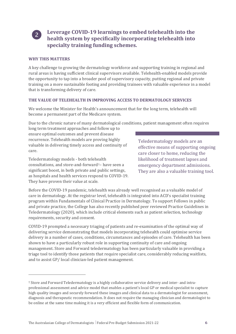

### **Leverage COVID-19 learnings to embed telehealth into the health system by specifically incorporating telehealth into specialty training funding schemes.**

#### **WHY THIS MATTERS**

A key challenge to growing the dermatology workforce and supporting training in regional and rural areas is having sufficient clinical supervisors available. Telehealth-enabled models provide the opportunity to tap into a broader pool of supervisory capacity, putting regional and private training on a more sustainable footing and providing trainees with valuable experience in a model that is transforming delivery of care.

#### **THE VALUE OF TELEHEALTH IN IMPROVING ACCESS TO DERMATOLOGY SERVICES**

We welcome the Minister for Health's announcement that for the long term, telehealth will become a permanent part of the Medicare system.

Due to the chronic nature of many dermatological conditions, patient management often requires

long term treatment approaches and follow up to ensure optimal outcomes and prevent disease recurrence. Telehealth models are proving highly valuable in delivering timely access and continuity of care.

Teledermatology models - both telehealth consultations, and store-and-forward[†](#page-6-0)– have seen a significant boost, in both private and public settings, as hospitals and health services respond to COVID-19. They have proven their value at scale.

Teledermatology models are an effective means of supporting ongoing care closer to home, reducing the likelihood of treatment lapses and emergency department admissions. They are also a valuable training tool.

Before the COVID-19 pandemic, telehealth was already well recognised as a valuable model of care in dermatology. At the registrar level, telehealth is integrated into ACD's specialist training program within Fundamentals of Clinical Practice in Dermatology. To support Fellows in public and private practice, the College has also recently published peer reviewed Practice Guidelines in Teledermatology (2020), which include critical elements such as patient selection, technology requirements, security and consent.

COVID-19 prompted a necessary triaging of patients and re-examination of the optimal way of delivering service demonstrating that models incorporating telehealth could optimise service delivery in a number of cases, conditions, circumstances and episodes of care. Telehealth has been shown to have a particularly robust role in supporting continuity of care and ongoing management. Store and Forward teledermatology has been particularly valuable in providing a triage tool to identify those patients that require specialist care, considerably reducing waitlists, and to assist GP/ local clinician-led patient management.

<span id="page-6-0"></span><sup>†</sup> Store and Forward Teledermatology is a highly collaborative service delivery and inter- and intraprofessional assessment and advice model that enables a patient's local GP or medical specialist to capture high quality images and securely forward these images and clinical data to a dermatologist for assessment, diagnosis and therapeutic recommendation. It does not require the managing clinician and dermatologist to be online at the same time making it is a very efficient and flexible form of communication.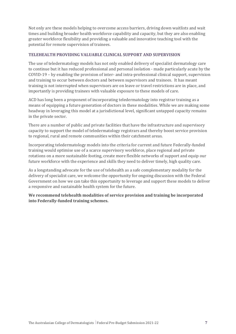Not only are these models helping to overcome access barriers, driving down waitlists and wait times and building broader health workforce capability and capacity, but they are also enabling greater workforce flexibility and providing a valuable and innovative teaching tool with the potential for remote supervision of trainees.

#### **TELEHEALTH PROVIDING VALUABLE CLINICAL SUPPORT AND SUPERVISION**

The use of teledermatology models has not only enabled delivery of specialist dermatology care to continue but it has reduced professional and personal isolation - made particularly acute by the COVID-19 – by enabling the provision of inter- and intra-professional clinical support, supervision and training to occur between doctors and between supervisors and trainees. It has meant training is not interrupted when supervisors are on leave or travel restrictions are in place, and importantly is providing trainees with valuable exposure to these models of care.

ACD has long been a proponent of incorporating teledermatology into registrar training as a means of equipping a future generation of doctors in these modalities. While we are making some headway in leveraging this model at a jurisdictional level, significant untapped capacity remains in the private sector.

There are a number of public and private facilities that have the infrastructure and supervisory capacity to support the model of teledermatology registrars and thereby boost service provision to regional, rural and remote communities within their catchment areas.

Incorporating teledermatology models into the criteria for current and future Federally-funded training would optimise use of a scarce supervisory workforce, place regional and private rotations on a more sustainable footing, create more flexible networks of support and equip our future workforce with the experience and skills they need to deliver timely, high quality care.

As a longstanding advocate for the use of telehealth as a safe complementary modality for the delivery of specialist care, we welcome the opportunity for ongoing discussion with the Federal Government on how we can take this opportunity to leverage and support these models to deliver a responsive and sustainable health system for the future.

**We recommend telehealth modalities of service provision and training be incorporated into Federally-funded training schemes.**